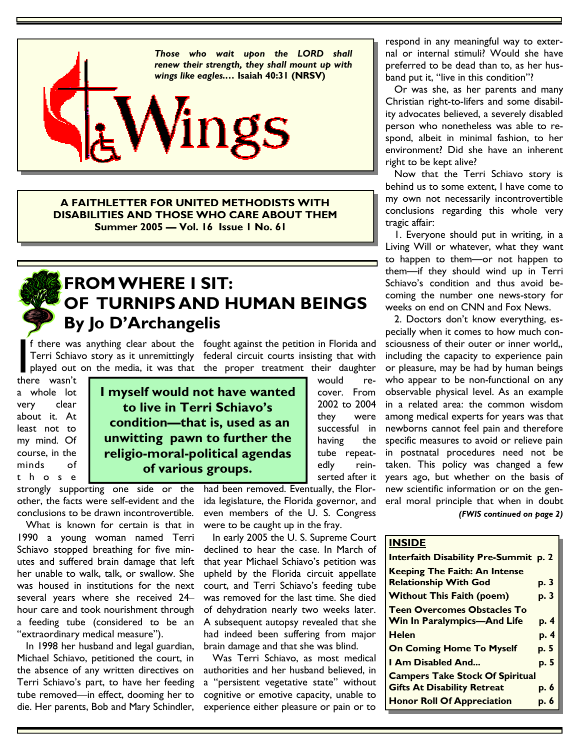

**A FAITHLETTER FOR UNITED METHODISTS WITH DISABILITIES AND THOSE WHO CARE ABOUT THEM Summer 2005 — Vol. 16 Issue 1 No. 61** 



### **FROM WHERE I SIT: OF TURNIPS AND HUMAN BEINGS By Jo D'Archangelis**

there wasn't a whole lot very clear about it. At least not to my mind. Of course, in the minds of t h o s e

**I myself would not have wanted to live in Terri Schiavo's condition—that is, used as an unwitting pawn to further the religio-moral-political agendas of various groups.** 

strongly supporting one side or the other, the facts were self-evident and the conclusions to be drawn incontrovertible.

 What is known for certain is that in 1990 a young woman named Terri Schiavo stopped breathing for five minutes and suffered brain damage that left her unable to walk, talk, or swallow. She was housed in institutions for the next several years where she received 24– hour care and took nourishment through a feeding tube (considered to be an "extraordinary medical measure").

 In 1998 her husband and legal guardian, Michael Schiavo, petitioned the court, in the absence of any written directives on Terri Schiavo's part, to have her feeding tube removed—in effect, dooming her to die. Her parents, Bob and Mary Schindler,

f there was anything clear about the fought against the petition in Florida and Terri Schiavo story as it unremittingly federal circuit courts insisting that with played out on the media, it was that the proper treatment t Terri Schiavo story as it unremittingly federal circuit courts insisting that with played out on the media, it was that the proper treatment their daughter would re-

had been removed. Eventually, the Florida legislature, the Florida governor, and even members of the U. S. Congress were to be caught up in the fray.

cover. From 2002 to 2004 they were successful in having the tube repeatedly reinserted after it

 In early 2005 the U. S. Supreme Court declined to hear the case. In March of that year Michael Schiavo's petition was upheld by the Florida circuit appellate court, and Terri Schiavo's feeding tube was removed for the last time. She died of dehydration nearly two weeks later. A subsequent autopsy revealed that she had indeed been suffering from major brain damage and that she was blind.

 Was Terri Schiavo, as most medical authorities and her husband believed, in a "persistent vegetative state" without cognitive or emotive capacity, unable to experience either pleasure or pain or to

respond in any meaningful way to external or internal stimuli? Would she have preferred to be dead than to, as her husband put it, "live in this condition"?

 Or was she, as her parents and many Christian right-to-lifers and some disability advocates believed, a severely disabled person who nonetheless was able to respond, albeit in minimal fashion, to her environment? Did she have an inherent right to be kept alive?

 Now that the Terri Schiavo story is behind us to some extent, I have come to my own not necessarily incontrovertible conclusions regarding this whole very tragic affair:

 1. Everyone should put in writing, in a Living Will or whatever, what they want to happen to them—or not happen to them—if they should wind up in Terri Schiavo's condition and thus avoid becoming the number one news-story for weeks on end on CNN and Fox News.

 2. Doctors don't know everything, especially when it comes to how much consciousness of their outer or inner world,, including the capacity to experience pain or pleasure, may be had by human beings who appear to be non-functional on any observable physical level. As an example in a related area: the common wisdom among medical experts for years was that newborns cannot feel pain and therefore specific measures to avoid or relieve pain in postnatal procedures need not be taken. This policy was changed a few years ago, but whether on the basis of new scientific information or on the general moral principle that when in doubt *(FWIS continued on page 2)* 

### **INSIDE**

| Interfaith Disability Pre-Summit p. 2  |      |
|----------------------------------------|------|
| <b>Keeping The Faith: An Intense</b>   |      |
| <b>Relationship With God</b>           | p. 3 |
| <b>Without This Faith (poem)</b>       | p. 3 |
| <b>Teen Overcomes Obstacles To</b>     |      |
| <b>Win In Paralympics-And Life</b>     | p. 4 |
| <b>Helen</b>                           | p. 4 |
| <b>On Coming Home To Myself</b>        | p. 5 |
| <b>I Am Disabled And</b>               | p. 5 |
| <b>Campers Take Stock Of Spiritual</b> |      |
| <b>Gifts At Disability Retreat</b>     | p. 6 |
| <b>Honor Roll Of Appreciation</b>      | p. 6 |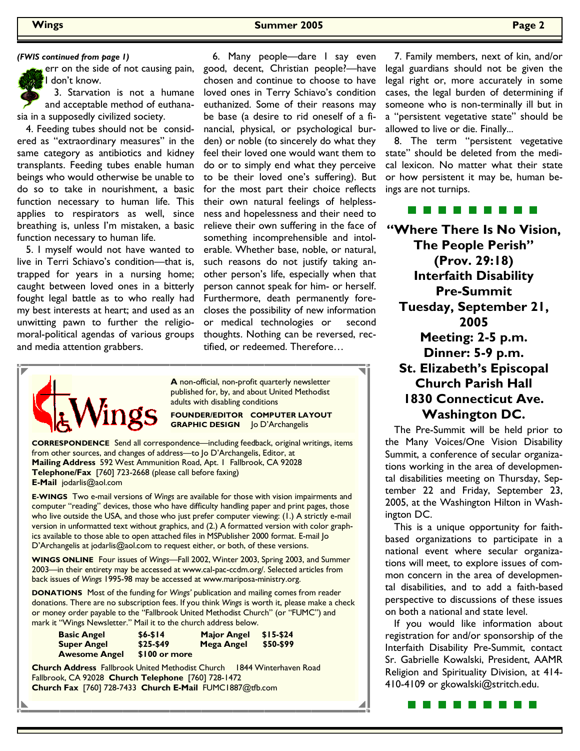err on the side of not causing pain, I don't know.

 3. Starvation is not a humane and acceptable method of euthanasia in a supposedly civilized society.

 4. Feeding tubes should not be considered as "extraordinary measures" in the same category as antibiotics and kidney transplants. Feeding tubes enable human beings who would otherwise be unable to do so to take in nourishment, a basic function necessary to human life. This applies to respirators as well, since breathing is, unless I'm mistaken, a basic function necessary to human life.

 5. I myself would not have wanted to live in Terri Schiavo's condition—that is, trapped for years in a nursing home; caught between loved ones in a bitterly fought legal battle as to who really had my best interests at heart; and used as an unwitting pawn to further the religiomoral-political agendas of various groups and media attention grabbers.

*(FWIS continued from page 1)* 6. Many people—dare I say even good, decent, Christian people?—have chosen and continue to choose to have loved ones in Terry Schiavo's condition euthanized. Some of their reasons may be base (a desire to rid oneself of a financial, physical, or psychological burden) or noble (to sincerely do what they feel their loved one would want them to do or to simply end what they perceive to be their loved one's suffering). But for the most part their choice reflects their own natural feelings of helplessness and hopelessness and their need to relieve their own suffering in the face of something incomprehensible and intolerable. Whether base, noble, or natural, such reasons do not justify taking another person's life, especially when that person cannot speak for him- or herself. Furthermore, death permanently forecloses the possibility of new information or medical technologies or second thoughts. Nothing can be reversed, rectified, or redeemed. Therefore…



**A** non-official, non-profit quarterly newsletter published for, by, and about United Methodist adults with disabling conditions

**FOUNDER/EDITOR COMPUTER LAYOUT GRAPHIC DESIGN** Jo D'Archangelis

**CORRESPONDENCE** Send all correspondence—including feedback, original writings, items from other sources, and changes of address—to Jo D'Archangelis, Editor, at **Mailing Address** 592 West Ammunition Road, Apt. 1 Fallbrook, CA 92028 **Telephone/Fax** [760] 723-2668 (please call before faxing) **E-Mail** jodarlis@aol.com

**E-WINGS** Two e-mail versions of *Wings* are available for those with vision impairments and computer "reading" devices, those who have difficulty handling paper and print pages, those who live outside the USA, and those who just prefer computer viewing: (1.) A strictly e-mail version in unformatted text without graphics, and (2.) A formatted version with color graphics available to those able to open attached files in MSPublisher 2000 format. E-mail Jo D'Archangelis at jodarlis@aol.com to request either, or both, of these versions.

**WINGS ONLINE** Four issues of *Wings—*Fall 2002, Winter 2003, Spring 2003, and Summer 2003—in their entirety may be accessed at www.cal-pac-ccdm.org/. Selected articles from back issues of *Wings* 1995-98 may be accessed at www.mariposa-ministry.org.

**DONATIONS** Most of the funding for *Wings'* publication and mailing comes from reader donations. There are no subscription fees. If you think *Wings* is worth it, please make a check or money order payable to the "Fallbrook United Methodist Church" (or "FUMC") and mark it "Wings Newsletter." Mail it to the church address below.

| <b>Basic Angel</b>   | $$6 - $14$    | <b>Major Angel</b> | $$15-$24$ |
|----------------------|---------------|--------------------|-----------|
| <b>Super Angel</b>   | $$25-$49$     | Mega Angel         | \$50-\$99 |
| <b>Awesome Angel</b> | \$100 or more |                    |           |

**Church Address** Fallbrook United Methodist Church 1844 Winterhaven Road Fallbrook, CA 92028 **Church Telephone** [760] 728-1472 **Church Fax** [760] 728-7433 **Church E-Mail** FUMC1887@tfb.com

 7. Family members, next of kin, and/or legal guardians should not be given the legal right or, more accurately in some cases, the legal burden of determining if someone who is non-terminally ill but in a "persistent vegetative state" should be allowed to live or die. Finally...

 8. The term "persistent vegetative state" should be deleted from the medical lexicon. No matter what their state or how persistent it may be, human beings are not turnips.

### . . . . . . . .

**"Where There Is No Vision, The People Perish" (Prov. 29:18) Interfaith Disability Pre-Summit Tuesday, September 21, 2005 Meeting: 2-5 p.m. Dinner: 5-9 p.m. St. Elizabeth's Episcopal Church Parish Hall 1830 Connecticut Ave. Washington DC.** 

 The Pre-Summit will be held prior to the Many Voices/One Vision Disability Summit, a conference of secular organizations working in the area of developmental disabilities meeting on Thursday, September 22 and Friday, September 23, 2005, at the Washington Hilton in Washington DC.

 This is a unique opportunity for faithbased organizations to participate in a national event where secular organizations will meet, to explore issues of common concern in the area of developmental disabilities, and to add a faith-based perspective to discussions of these issues on both a national and state level.

 If you would like information about registration for and/or sponsorship of the Interfaith Disability Pre-Summit, contact Sr. Gabrielle Kowalski, President, AAMR Religion and Spirituality Division, at 414- 410-4109 or gkowalski@stritch.edu.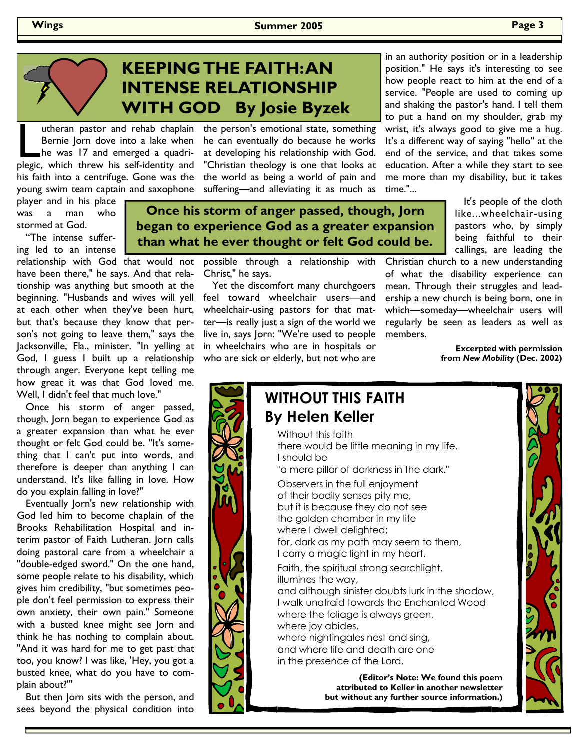## **KEEPING THE FAITH: AN INTENSE RELATIONSHIP WITH GOD By Josie Byzek**

utheran pastor and rehab chaplain<br>Bernie Jorn dove into a lake when<br>he was 17 and emerged a quadri-<br>plegic, which threw his self-identity and Bernie Jorn dove into a lake when he was 17 and emerged a quadriplegic, which threw his self-identity and his faith into a centrifuge. Gone was the young swim team captain and saxophone

player and in his place was a man who stormed at God.

 "The intense suffering led to an intense

relationship with God that would not have been there," he says. And that relationship was anything but smooth at the beginning. "Husbands and wives will yell at each other when they've been hurt, but that's because they know that person's not going to leave them," says the Jacksonville, Fla., minister. "In yelling at God, I guess I built up a relationship through anger. Everyone kept telling me how great it was that God loved me. Well, I didn't feel that much love."

 Once his storm of anger passed, though, Jorn began to experience God as a greater expansion than what he ever thought or felt God could be. "It's something that I can't put into words, and therefore is deeper than anything I can understand. It's like falling in love. How do you explain falling in love?"

 Eventually Jorn's new relationship with God led him to become chaplain of the Brooks Rehabilitation Hospital and interim pastor of Faith Lutheran. Jorn calls doing pastoral care from a wheelchair a "double-edged sword." On the one hand, some people relate to his disability, which gives him credibility, "but sometimes people don't feel permission to express their own anxiety, their own pain." Someone with a busted knee might see Jorn and think he has nothing to complain about. "And it was hard for me to get past that too, you know? I was like, 'Hey, you got a busted knee, what do you have to complain about?'"

 But then Jorn sits with the person, and sees beyond the physical condition into

utheran pastor and rehab chaplain the person's emotional state, something he can eventually do because he works at developing his relationship with God. "Christian theology is one that looks at the world as being a world of pain and suffering—and alleviating it as much as

> **Once his storm of anger passed, though, Jorn began to experience God as a greater expansion than what he ever thought or felt God could be.**

> > possible through a relationship with Christ," he says.

 Yet the discomfort many churchgoers feel toward wheelchair users—and wheelchair-using pastors for that matter—is really just a sign of the world we live in, says Jorn: "We're used to people in wheelchairs who are in hospitals or who are sick or elderly, but not who are

in an authority position or in a leadership position." He says it's interesting to see how people react to him at the end of a service. "People are used to coming up and shaking the pastor's hand. I tell them to put a hand on my shoulder, grab my wrist, it's always good to give me a hug. It's a different way of saying "hello" at the end of the service, and that takes some education. After a while they start to see me more than my disability, but it takes time."...

> It's people of the cloth like...wheelchair-using pastors who, by simply being faithful to their callings, are leading the

Christian church to a new understanding of what the disability experience can mean. Through their struggles and leadership a new church is being born, one in which—someday—wheelchair users will regularly be seen as leaders as well as members.

> **Excerpted with permission from** *New Mobility* **(Dec. 2002)**

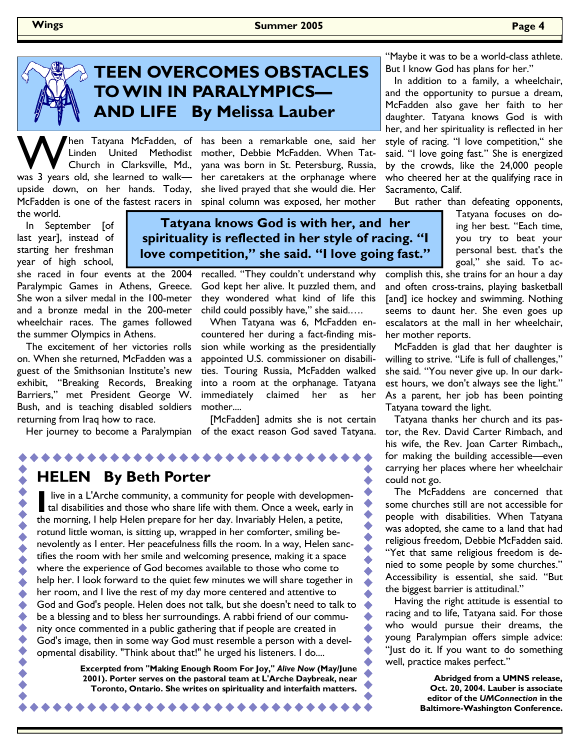

## **TEEN OVERCOMES OBSTACLES TO WIN IN PARALYMPICS— AND LIFE By Melissa Lauber**

W hen Tatyana McFadden, of Linden United Methodist<br>Church in Clarksville, Md., was 3 years old, she learned to walk upside down, on her hands. Today, McFadden is one of the fastest racers in the world.

 In September [of last year], instead of starting her freshman year of high school,

she raced in four events at the 2004 Paralympic Games in Athens, Greece. She won a silver medal in the 100-meter and a bronze medal in the 200-meter wheelchair races. The games followed the summer Olympics in Athens.

 The excitement of her victories rolls on. When she returned, McFadden was a guest of the Smithsonian Institute's new exhibit, "Breaking Records, Breaking Barriers," met President George W. Bush, and is teaching disabled soldiers returning from Iraq how to race.

Linden United Methodist mother, Debbie McFadden. When Tat-Church in Clarksville, Md., yana was born in St. Petersburg, Russia, hen Tatyana McFadden, of has been a remarkable one, said her her caretakers at the orphanage where she lived prayed that she would die. Her spinal column was exposed, her mother

> **Tatyana knows God is with her, and her spirituality is reflected in her style of racing. "I love competition," she said. "I love going fast."**

> > recalled. "They couldn't understand why God kept her alive. It puzzled them, and they wondered what kind of life this child could possibly have," she said.….

> > When Tatyana was 6, McFadden encountered her during a fact-finding mission while working as the presidentially appointed U.S. commissioner on disabilities. Touring Russia, McFadden walked into a room at the orphanage. Tatyana immediately claimed her as her mother....

 Her journey to become a Paralympian of the exact reason God saved Tatyana. [McFadden] admits she is not certain

### **HELEN By Beth Porter**

**AAAAAA** 

I live in a L'Arche community, a community for people with developmental disabilities and those who share life with them. Once a week, early in the meaning I help. Helen prepare for her day, layoriably Helen a perite, the morning, I help Helen prepare for her day. Invariably Helen, a petite, rotund little woman, is sitting up, wrapped in her comforter, smiling benevolently as I enter. Her peacefulness fills the room. In a way, Helen sanctifies the room with her smile and welcoming presence, making it a space where the experience of God becomes available to those who come to help her. I look forward to the quiet few minutes we will share together in her room, and I live the rest of my day more centered and attentive to God and God's people. Helen does not talk, but she doesn't need to talk to be a blessing and to bless her surroundings. A rabbi friend of our community once commented in a public gathering that if people are created in God's image, then in some way God must resemble a person with a developmental disability. "Think about that!" he urged his listeners. I do....

. . . . . . . . . . . . . . .

**Excerpted from "Making Enough Room For Joy,"** *Alive Now* **(May/June 2001). Porter serves on the pastoral team at L'Arche Daybreak, near Toronto, Ontario. She writes on spirituality and interfaith matters.**

"Maybe it was to be a world-class athlete. But I know God has plans for her."

 In addition to a family, a wheelchair, and the opportunity to pursue a dream, McFadden also gave her faith to her daughter. Tatyana knows God is with her, and her spirituality is reflected in her style of racing. "I love competition," she said. "I love going fast." She is energized by the crowds, like the 24,000 people who cheered her at the qualifying race in Sacramento, Calif.

But rather than defeating opponents,

Tatyana focuses on doing her best. "Each time, you try to beat your personal best. that's the goal," she said. To ac-

complish this, she trains for an hour a day and often cross-trains, playing basketball [and] ice hockey and swimming. Nothing seems to daunt her. She even goes up escalators at the mall in her wheelchair, her mother reports.

 McFadden is glad that her daughter is willing to strive. "Life is full of challenges," she said. "You never give up. In our darkest hours, we don't always see the light." As a parent, her job has been pointing Tatyana toward the light.

 Tatyana thanks her church and its pastor, the Rev. David Carter Rimbach, and his wife, the Rev. Joan Carter Rimbach,, for making the building accessible—even carrying her places where her wheelchair could not go.

 The McFaddens are concerned that some churches still are not accessible for people with disabilities. When Tatyana was adopted, she came to a land that had religious freedom, Debbie McFadden said. "Yet that same religious freedom is denied to some people by some churches." Accessibility is essential, she said. "But the biggest barrier is attitudinal."

 Having the right attitude is essential to racing and to life, Tatyana said. For those who would pursue their dreams, the young Paralympian offers simple advice: "Just do it. If you want to do something well, practice makes perfect."

> **Abridged from a UMNS release, Oct. 20, 2004. Lauber is associate editor of the** *UMConnection* **in the Baltimore-Washington Conference.**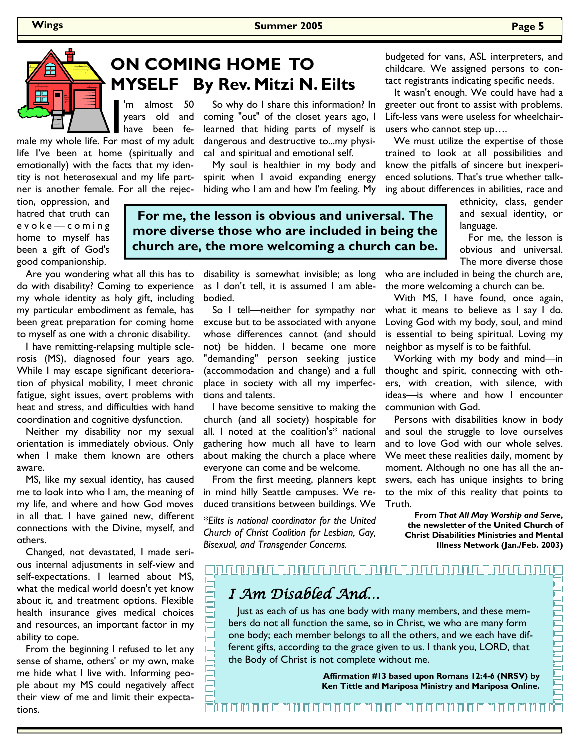

 So why do I share this information? In **MYSELF By Rev. Mitzi N. Eilts** 

years old and have been fe-

life I've been at home (spiritually and emotionally) with the facts that my identity is not heterosexual and my life partner is another female. For all the rejec-

tion, oppression, and hatred that truth can e v o k e — c o m i n g home to myself has been a gift of God's good companionship.

Are you wondering what all this has to

do with disability? Coming to experience my whole identity as holy gift, including my particular embodiment as female, has been great preparation for coming home to myself as one with a chronic disability.

 I have remitting-relapsing multiple sclerosis (MS), diagnosed four years ago. While I may escape significant deterioration of physical mobility, I meet chronic fatigue, sight issues, overt problems with heat and stress, and difficulties with hand coordination and cognitive dysfunction.

 Neither my disability nor my sexual orientation is immediately obvious. Only when I make them known are others aware.

 MS, like my sexual identity, has caused me to look into who I am, the meaning of my life, and where and how God moves in all that. I have gained new, different connections with the Divine, myself, and others.

 Changed, not devastated, I made serious internal adjustments in self-view and self-expectations. I learned about MS, what the medical world doesn't yet know about it, and treatment options. Flexible health insurance gives medical choices and resources, an important factor in my ability to cope.

 From the beginning I refused to let any sense of shame, others' or my own, make me hide what I live with. Informing people about my MS could negatively affect their view of me and limit their expectations.

cal and spiritual and emotional self. My soul is healthier in my body and spirit when I avoid expanding energy hiding who I am and how I'm feeling. My

coming "out" of the closet years ago, I learned that hiding parts of myself is dangerous and destructive to...my physi-

**For me, the lesson is obvious and universal. The more diverse those who are included in being the church are, the more welcoming a church can be.** 

> as I don't tell, it is assumed I am ablebodied.

 So I tell—neither for sympathy nor excuse but to be associated with anyone whose differences cannot (and should not) be hidden. I became one more "demanding" person seeking justice (accommodation and change) and a full place in society with all my imperfections and talents.

 I have become sensitive to making the church (and all society) hospitable for all. I noted at the coalition's\* national gathering how much all have to learn about making the church a place where everyone can come and be welcome.

 From the first meeting, planners kept in mind hilly Seattle campuses. We reduced transitions between buildings. We

*\*Eilts is national coordinator for the United Church of Christ Coalition for Lesbian, Gay, Bisexual, and Transgender Concerns.* 

budgeted for vans, ASL interpreters, and childcare. We assigned persons to contact registrants indicating specific needs.

 It wasn't enough. We could have had a greeter out front to assist with problems. Lift-less vans were useless for wheelchairusers who cannot step up….

 We must utilize the expertise of those trained to look at all possibilities and know the pitfalls of sincere but inexperienced solutions. That's true whether talking about differences in abilities, race and

> ethnicity, class, gender and sexual identity, or language.

> For me, the lesson is obvious and universal. The more diverse those

disability is somewhat invisible; as long who are included in being the church are, the more welcoming a church can be.

> With MS, I have found, once again, what it means to believe as I say I do. Loving God with my body, soul, and mind is essential to being spiritual. Loving my neighbor as myself is to be faithful.

> Working with my body and mind—in thought and spirit, connecting with others, with creation, with silence, with ideas—is where and how I encounter communion with God.

> Persons with disabilities know in body and soul the struggle to love ourselves and to love God with our whole selves. We meet these realities daily, moment by moment. Although no one has all the answers, each has unique insights to bring to the mix of this reality that points to Truth.

> > **From** *That All May Worship and Serve***, the newsletter of the United Church of Christ Disabilities Ministries and Mental Illness Network (Jan./Feb. 2003)**

### I Am Disabled And…

 Just as each of us has one body with many members, and these members do not all function the same, so in Christ, we who are many form one body; each member belongs to all the others, and we each have different gifts, according to the grace given to us. I thank you, LORD, that the Body of Christ is not complete without me.

> **Affirmation #13 based upon Romans 12:4-6 (NRSV) by Ken Tittle and Mariposa Ministry and Mariposa Online.**